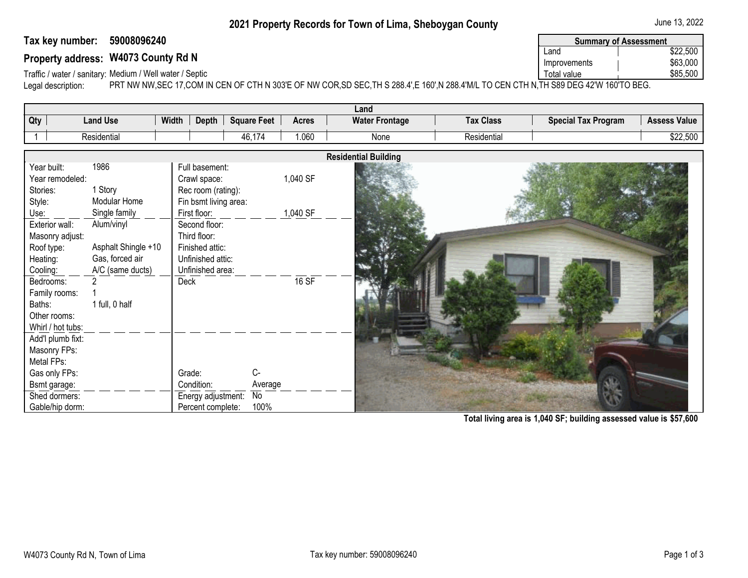## **2021 Property Records for Town of Lima, Sheboygan County 1992 1993** June 13, 2022

## **Tax key number: 59008096240**

| 59008096240<br>Tax key number:                                                                                                                                | <b>Summary of Assessment</b> |          |
|---------------------------------------------------------------------------------------------------------------------------------------------------------------|------------------------------|----------|
|                                                                                                                                                               | ∟ano                         | \$22,500 |
| Property address: W4073 County Rd N                                                                                                                           | Improvements                 | \$63,000 |
| Traffic / water / sanitary: Medium / Well water / Septic                                                                                                      | Total value                  | \$85,500 |
| DDT NIM NIM CEO 47 OOM IN OEN OF OTH N 202IE OE NIM OOD CD CEO THIC 200 ALE 400LN 200 ABALL TO OEN OTH N THICOO DEO A2IM 400ITO DEO.<br>المستنفس سممام المسما |                              |          |

Traffic / water / sanitary: Medium / Well water / Septic<br>Legal description: PRT NW NW, SEC 17, COM II PRT NW NW,SEC 17,COM IN CEN OF CTH N 303'E OF NW COR,SD SEC,TH S 288.4',E 160',N 288.4'M/L TO CEN CTH N, TH S89 DEG 42'W 160'TO BEG.

| Land                                                                                                                                                      |                     |  |  |  |  |  |  |  |
|-----------------------------------------------------------------------------------------------------------------------------------------------------------|---------------------|--|--|--|--|--|--|--|
| Qty<br><b>Land Use</b><br><b>Tax Class</b><br><b>Special Tax Program</b><br>Width<br>Depth<br><b>Square Feet</b><br><b>Water Frontage</b><br><b>Acres</b> | <b>Assess Value</b> |  |  |  |  |  |  |  |
| 1.060<br>Residential<br>Residential<br>46,174<br>None                                                                                                     | \$22,500            |  |  |  |  |  |  |  |
|                                                                                                                                                           |                     |  |  |  |  |  |  |  |
| <b>Residential Building</b>                                                                                                                               |                     |  |  |  |  |  |  |  |
| 1986<br>Year built:<br>Full basement:                                                                                                                     |                     |  |  |  |  |  |  |  |
| 1,040 SF<br>Year remodeled:<br>Crawl space:                                                                                                               |                     |  |  |  |  |  |  |  |
| 1 Story<br>Stories:<br>Rec room (rating):                                                                                                                 |                     |  |  |  |  |  |  |  |
| Style:<br>Modular Home<br>Fin bsmt living area:                                                                                                           |                     |  |  |  |  |  |  |  |
| Single family<br>1,040 SF<br>Use:<br>First floor:                                                                                                         |                     |  |  |  |  |  |  |  |
| Alum/vinyl<br>Exterior wall:<br>Second floor:                                                                                                             |                     |  |  |  |  |  |  |  |
| Third floor:<br>Masonry adjust:                                                                                                                           |                     |  |  |  |  |  |  |  |
| Asphalt Shingle +10<br>Roof type:<br>Finished attic:                                                                                                      |                     |  |  |  |  |  |  |  |
| Heating:<br>Gas, forced air<br>Unfinished attic:                                                                                                          |                     |  |  |  |  |  |  |  |
| A/C (same ducts)<br>Cooling:<br>Unfinished area:                                                                                                          |                     |  |  |  |  |  |  |  |
| <b>16 SF</b><br>Bedrooms:<br>Deck                                                                                                                         |                     |  |  |  |  |  |  |  |
| Family rooms:                                                                                                                                             |                     |  |  |  |  |  |  |  |
| Baths:<br>1 full, 0 half                                                                                                                                  |                     |  |  |  |  |  |  |  |
| Other rooms:                                                                                                                                              |                     |  |  |  |  |  |  |  |
| Whirl / hot tubs:                                                                                                                                         |                     |  |  |  |  |  |  |  |
| Add'l plumb fixt:                                                                                                                                         |                     |  |  |  |  |  |  |  |
| Masonry FPs:                                                                                                                                              |                     |  |  |  |  |  |  |  |
| Metal FPs:                                                                                                                                                |                     |  |  |  |  |  |  |  |
| C-<br>Gas only FPs:<br>Grade:                                                                                                                             |                     |  |  |  |  |  |  |  |
| Bsmt garage:<br>Condition:<br>Average                                                                                                                     |                     |  |  |  |  |  |  |  |
| Shed dormers:<br>$\overline{N}$<br>Energy adjustment:                                                                                                     |                     |  |  |  |  |  |  |  |
| 100%<br>Percent complete:<br>Gable/hip dorm:                                                                                                              |                     |  |  |  |  |  |  |  |

**Total living area is 1,040 SF; building assessed value is \$57,600**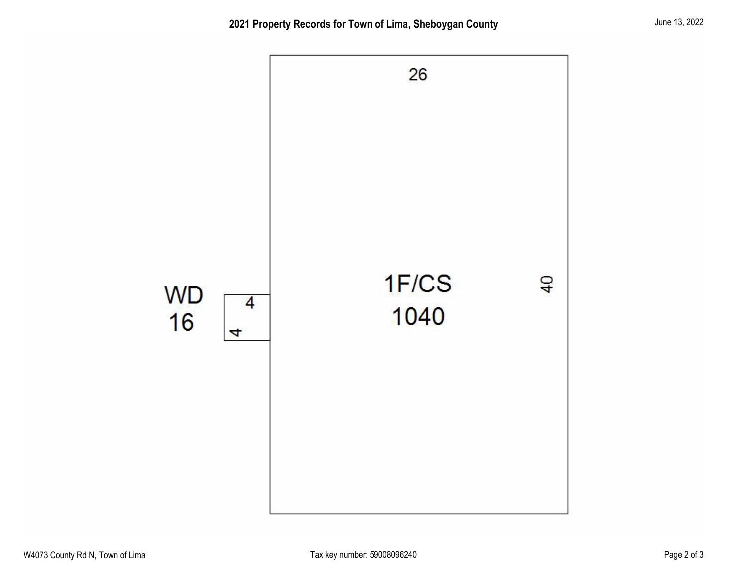